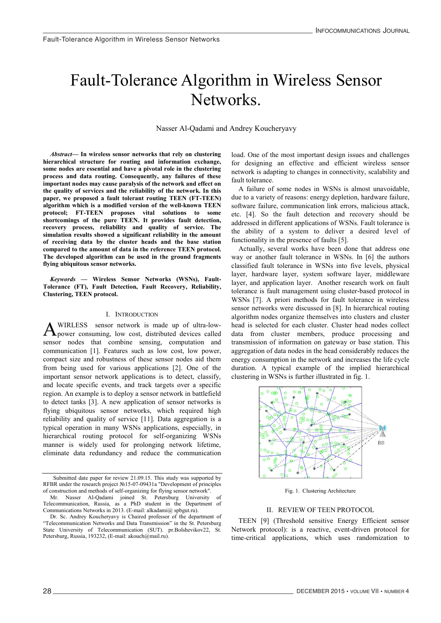## Fault-Tolerance Algorithm in Wireless Sensor Networks. Fault-Tolerance Algorithm in Wireless Sensor Fault-Tolerance Algorithm in Wireless Sensor Networks. Networks. ngoriumi i<br>N Fault-Tolerance Algorithm in Wireless Sensor

Nasser Al-Qadami and Andrey Koucheryavy  $\mathcal{N} = \mathcal{N} \circ \mathcal{N}$ 

*Abstract*— in wheless sensor networks that fely on clustering<br>hierarchical structure for routing and information exchange, some nodes are essential and have a pivotal role in the clustering **some nodes are essential and have a pivotal role in the clustering process and data routing. Consequently, any failures of these process and data routing. Consequently, any failures of these process and data routing. Consequently, any failures of these important nodes may cause paralysis of the network and effect on important nodes may cause paralysis of the network and effect on important nodes may cause paralysis of the network and effect on the quality of services and the reliability of the network. In this the quality of services and the reliability of the network. In this**  paper, we proposed a fault tolerant routing TEEN (FT-TEEN) algorithm which is a modified version of the well-known TEEN algorithm which is a modified version of the well-known TEEN argoritmin which is a modified version of the wen-known TEEN<br>protocol; FT-TEEN proposes vital solutions to some shortcomings of the pure TEEN. It provides fault detection, recovery process, reliability and quality of service. The simulation results showed a significant reliability in the amount **simulation results showed a significant reliability in the amount of receiving data by the cluster heads and the base station of receiving data by the cluster heads and the base station of receiving data by the cluster heads and the base station compared to the amount of data in the reference TEEN protocol. compared to the amount of data in the reference TEEN protocol.**  The developed algorithm can be used in the ground fragments **The developed algorithm can be used in the ground fragments flying ubiquitous sensor networks. flying ubiquitous sensor networks.** *Abstract***— In wireless sensor networks that rely on clustering**  *Abstract***— In wireless sensor networks that rely on clustering some nodes are essential and have a pivotal role in the clustering process and data routing. Consequently, any failures of these important nodes may cause paralysis of the network and effect on simulation results showed a significant reliability in the amount of receiving data by the cluster heads and the base station The developed algorithm can be used in the ground fragments flying ubiquitous sensor networks.**

*Keywords* **— Wireless Sensor Networks (WSNs), Fault-Tolerance (FT), Fault Detection, Fault Recovery, Reliability, Tolerance (FT), Fault Detection, Fault Recovery, Reliability, Tolerance (FT), Fault Detection, Fault Recovery, Reliability, Clustering, TEEN protocol. Clustering, TEEN protocol.** *Keywords* **— Wireless Sensor Networks (WSNs), Fault-***Keywords* **— Wireless Sensor Networks (WSNs), Fault-***Keywords* **— Wireless Sensor Networks (WSNs), Fault-Tolerance (FT), Fault Detection, Fault Recovery, Reliability, Clustering, TEEN protocol.**

# I. INTRODUCTION I. INTRODUCTION

SOT network is m power consuming, for cost, assistance acrices cancel communication [1]. Features such as low cost, low power, communication [1]. Teatures such as low cost, low power, from being used for various applications [2]. One of the important sensor network applications is to detect, classify,<br>important sensor network applications is to detect, classify, mportant sensor network applications is to detect, easisity, and locate specific events, and track targets over a specific region. An example is to deploy a sensor network in battlefield to detect tanks [3]. A new application of sensor networks is to detect tanks [5]. A new application of sensor networks is<br>flying ubiquitous sensor networks, which required high reliability and quality of service [11]. Data aggregation is a typical operation in many WSNs applications, especially, in sypical operation in many works applications, especially, in<br>hierarchical routing protocol for self-organizing WSNs manner is widely used for prolonging network lifetime, humor is where used for prototiging network method, eliminate data redundancy and reduce the communication **A Sepower consuming, low cost, distributed devices called**<br>sensor nodes that combine sensing, computation and<br>communication [1]. Features such as low cost, low power, wirkless sensor network is made up of und-low-A WIKLESS sensor network is made up of ultra-low-<br>sensor consuming, low cost, distributed devices called<br>sensor nodes that combine sensing, computation and WIRLESS sensor network is made up of ultra-low-**A**WIRLESS sensor network is made up of ultra-low-<br>sensor consuming, low cost, distributed devices called<br>sensor nodes that combine sensing, computation and eliminate data redundancy and reduce the communication load. One of the most important design issues and challenges For designing an effective and efficient wireless sensor network is adapting to changes in connectivity, scalability and network is adapting to changes in connectivity, scalability and fault tolerance. network is adapting to changes in connectivity, scalability and<br>fault tolerance. for designing and changes and effective and effective and effective and effective sensors in the sensors sensors in the sensors sensors in the sensors in the sensors in the sensors in the sensors in the sensors in the sens not designing an effective and efficient wifeless sensor

A failure of some nodes in WSNs is almost unavoidable, software of some nodes in world is almost and volation, the communication link errors, due to a variety of reasons: energy depletion, hardware failure, and to a variety of reasons, energy apprenent, material tantac, software failure, communication link errors, malicious attack, etc. [4]. So the fault detection and recovery should be each. ete: [1]. So the flam detection and recovery should be<br>addressed in different applications of WSNs. Fault tolerance is the ability of a system to deliver a desired level of functionality in the presence of faults  $[5]$ . due to a variety of some nodes in works is almost unavoidable, alle to a variety of reasons, energy depietion, nardware failure, soitware failure, communication fink errors, maticious attack,  $\text{eucl}$  [4]. So the fault detection and recovery should be addressed in different applications of w Sins. Fault tolerance is  $\frac{1}{2}$  functionality of a system to deliver  $\alpha$  actionality in the presence of faults  $[3]$ .

Actually, several works have been done that address one receding, several works have seen done that dedness one way or another fault tolerance in WSNs. In [6] the authors way or another fault tolerance in WSNs. In [6] the authors<br>classified fault tolerance in WSNs into five levels, physical enassined name toterance in works mid investors, physical layer, hardware layer, system software layer, middleware tayer, intrawate inyer, system sortware inyer, intraneware tolerance is fault management using cluster-based protocol in were discussed in the management along oraliser outset process in<br>WSNs [7]. A priori methods for fault tolerance in wireless where  $\lfloor \cdot \rfloor$ . The priori methods for tallit doctance in whereas algorithm nodes organize themselves into clusters and cluster. digitimation is selected for each cluster. Cluster head nodes collect head is selected for each cluster. Cluster head nodes collect head is selected for each cluster. Cluster head nodes collect data from cluster members, produce processing and transmission of information on gateway or base station. This transmission of information on gateway or base station. energy consumergy consumergy consumergy consumergy consumergy consumption in the network and increases the and increases the life cycle cycle and in the head considerably reduces the degregation of durations in the network and increases the life cycle energy consumption in the network and increases the life cycle energy consumption in the network and increases the life cycle duration. A typical example of the implied hierarchical clustering in WSNs is further illustrated in fig. 1. Actually, several works have been done that address one way or another fault tolerance in WSNs. In [o] the attincies classified fault tolerance in WSNs into five levels, physical layer, nardware layer, system software layer, middleware tayer, and application layer. Another research work on fault tolerance is fault management using cluster-based protocol in  $W$ SNS [ $\prime$ ]. A priori methods for fault tolerance in wireless sensor networks were discussed in  $\delta$ . In merarchical routing algorithm hodes organize themselves into clusters and cluster dead is selected for each cluster. Cluster head hodes collect data from cluster members, produce processing and transmission of information on gateway or base station. This aggregation of data hodes in the head considerably reduces the energy consumption in the network and increases the life cycle duration. A typical example of the implied



Fig. 1. Clustering Architecture

# II. REVIEW OF TEEN PROTOCOL  $T_{\text{E}}$  KETEN of The FIFIC FOCOL

TEEN [9] (Threshold sensitive Energy Efficient sensor  $TELIV$  [ $2$ ] (Thushold sensitive Energy Efficient sensor Network protocol): is a reactive, event-driven protocol for time-critical applications, which uses randomization to IEEN [9] (Infeshold sensitive Energy Efficient sensor Network protocol): is a reactive, event-driven protocol for

of construction and paper for review 21.09.15. This study was supported by RFBR under the research project №15-07-09431a "Development of principles of construction and methods of self-organizing for flying sensor network".<br>Mr. Nasser Al-Qadami joined St. Petersburg University of Submitted date paper for review 21.09.15. This study was supported by Submitted date paper for review 21.09.15. This study was supported by Submitted date paper for review 21.09.15. This study was supported by Submitted date paper for review 21.09.15. This study was supported by RFBR under the research project №15-07-09431a "Development of principles of construction and methods of self-organizing for flying sensor network".

Mr. Nasser Al-Qadami joined St. Petersburg University of Telecommunication, Russia, as a PhD student in the Department of Telecommunication, Russia, as a PhD student in the Department of Communications Networks in 2013. (E-mail: alkadami@ spbgut.ru). Mr. Nasser Al-Qadami joined St. Petersburg University of Telecommunication, Russia, as a PhD student in the Department of Communications Networks in 2013. (E-mail: alkadami@ spbgut.ru).

Dr. Sc. Andrey Koucheryavy is Chaired professor of the department of The University of Telecommunication Networks and Data Transmission" in the St. Petersburg "Telecommunication Networks and Data Transmission" in the St. Petersburg State University of Telecommunication (SUT). pr.Bolshevikov22, St. State University of Telecommunication (SUT). pr.Bolshevikov22, St. Petersburg, Russia, 193232, (E-mail: akouch@mail.ru). "Telecommunication Networks and Data Transmission" in the St. Petersburg State University of Telecommunication (SUT). pr.Bolshevikov22, St. Petersburg, Russia, 193232, (E-mail: akouch@mail.ru).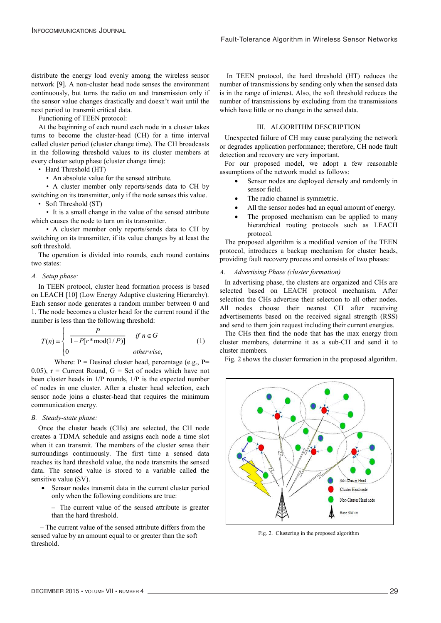distribute the energy load evenly among the wireless sensor network [9]. A non-cluster head node senses the environment continuously, but turns the radio on and transmission only if the sensor value changes drastically and doesn't wait until the next period to transmit critical data.

Functioning of TEEN protocol:

At the beginning of each round each node in a cluster takes turns to become the cluster-head (CH) for a time interval called cluster period (cluster change time). The CH broadcasts in the following threshold values to its cluster members at every cluster setup phase (cluster change time):

• Hard Threshold (HT)

• An absolute value for the sensed attribute.

• A cluster member only reports/sends data to CH by switching on its transmitter, only if the node senses this value. • Soft Threshold (ST)

• It is a small change in the value of the sensed attribute which causes the node to turn on its transmitter.

• A cluster member only reports/sends data to CH by switching on its transmitter, if its value changes by at least the soft threshold.

The operation is divided into rounds, each round contains two states:

### *A. Setup phase:*

In TEEN protocol, cluster head formation process is based on LEACH [10] (Low Energy Adaptive clustering Hierarchy). Each sensor node generates a random number between 0 and 1. The node becomes a cluster head for the current round if the number is less than the following threshold:

$$
T(n) = \begin{cases} \frac{P}{1 - P[r^* \text{mod}(1/P)]} & \text{if } n \in G \\ 0 & \text{otherwise,} \end{cases}
$$
 (1)

Where:  $P =$  Desired cluster head, percentage (e.g.,  $P =$ 0.05),  $r =$  Current Round,  $G =$  Set of nodes which have not been cluster heads in 1/P rounds, 1/P is the expected number of nodes in one cluster. After a cluster head selection, each sensor node joins a cluster-head that requires the minimum communication energy.

#### *B. Steady-state phase:*

Once the cluster heads (CHs) are selected, the CH node creates a TDMA schedule and assigns each node a time slot when it can transmit. The members of the cluster sense their surroundings continuously. The first time a sensed data reaches its hard threshold value, the node transmits the sensed data. The sensed value is stored to a variable called the sensitive value (SV).

 Sensor nodes transmit data in the current cluster period only when the following conditions are true:

– The current value of the sensed attribute is greater than the hard threshold.

 – The current value of the sensed attribute differs from the sensed value by an amount equal to or greater than the soft threshold.

In TEEN protocol, the hard threshold (HT) reduces the number of transmissions by sending only when the sensed data is in the range of interest. Also, the soft threshold reduces the number of transmissions by excluding from the transmissions which have little or no change in the sensed data.

# III. ALGORITHM DESCRIPTION

Unexpected failure of CH may cause paralyzing the network or degrades application performance; therefore, CH node fault detection and recovery are very important.

For our proposed model, we adopt a few reasonable assumptions of the network model as follows:

- Sensor nodes are deployed densely and randomly in sensor field.
- The radio channel is symmetric.
- All the sensor nodes had an equal amount of energy.
- The proposed mechanism can be applied to many hierarchical routing protocols such as LEACH protocol.

The proposed algorithm is a modified version of the TEEN protocol, introduces a backup mechanism for cluster heads, providing fault recovery process and consists of two phases:

### *A. Advertising Phase (cluster formation)*

In advertising phase, the clusters are organized and CHs are selected based on LEACH protocol mechanism. After selection the CHs advertise their selection to all other nodes. All nodes choose their nearest CH after receiving advertisements based on the received signal strength (RSS) and send to them join request including their current energies.

The CHs then find the node that has the max energy from cluster members, determine it as a sub-CH and send it to cluster members.

Fig. 2 shows the cluster formation in the proposed algorithm.



Fig. 2. Clustering in the proposed algorithm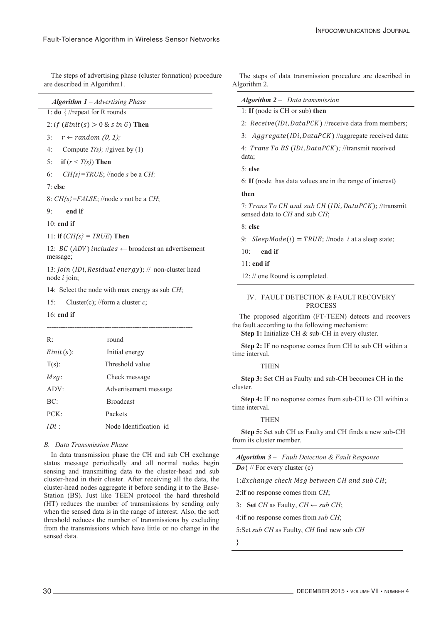The steps of advertising phase (cluster formation) procedure are described in Algorithm1.

*Algorithm 1 – Advertising Phase* 1: **do** { //repeat for R rounds

2: *if*  $(Einit(s) > 0 \& s in G)$  Then

3:  $r \leftarrow random(0, 1)$ ;

- 4: Compute  $T(s)$ ; //given by (1)
- 5: **if**  $(r \leq T(s))$  **Then**
- 6: *CH{s}=TRUE*; //node *s* be a *CH;*

7: **else**

8: *CH{s}=FALSE*; //node *s* not be a *CH*;

9: **end if**

10: **end if**

11: **if** (*CH{s} = TRUE*) **Then**

12: *BC* (*ADV*) includes  $\leftarrow$  broadcast an advertisement message;

13: *Join (IDi, Residual energy)*;  $\#$  non-cluster head node  $i$  join;

14: Select the node with max energy as sub *CH*;

15: Cluster(c); //form a cluster *c*;

#### 16: **end if**

| R:           | round                  |
|--------------|------------------------|
| $Einit(s)$ : | Initial energy         |
| $T(s)$ :     | Threshold value        |
| $Msg$ :      | Check message          |
| ADV:         | Advertisement message  |
| BC:          | <b>Broadcast</b>       |
| PCK          | Packets                |
| $IDi$ .      | Node Identification id |

### *B. Data Transmission Phase*

In data transmission phase the CH and sub CH exchange status message periodically and all normal nodes begin sensing and transmitting data to the cluster-head and sub cluster-head in their cluster. After receiving all the data, the cluster-head nodes aggregate it before sending it to the Base-Station (BS). Just like TEEN protocol the hard threshold (HT) reduces the number of transmissions by sending only when the sensed data is in the range of interest. Also, the soft threshold reduces the number of transmissions by excluding from the transmissions which have little or no change in the sensed data.

The steps of data transmission procedure are described in Algorithm 2.

| <b>Algorithm 2</b> – Data transmission                      |
|-------------------------------------------------------------|
| 1: If (node is $CH$ or sub) then                            |
| 2: Receive (IDi, DataPCK) //receive data from members;      |
| 3: Aggregate(IDi, DataPCK) //aggregate received data;       |
| 4: Trans To BS (IDi, DataPCK); //transmit received<br>data; |
| $5:$ else                                                   |
| 6: If (node has data values are in the range of interest)   |
| then                                                        |

7: Trans To CH and sub CH (IDi, DataPCK); //transmit sensed data to *CH* and sub *CH*;

8: **else**

9:  $SleepMode(i) = TRUE$ ; //node i at a sleep state;

10: **end if**

11: **end if**

12: // one Round is completed.

### IV. FAULT DETECTION & FAULT RECOVERY PROCESS

The proposed algorithm (FT-TEEN) detects and recovers the fault according to the following mechanism:

Step 1: Initialize CH & sub-CH in every cluster.

 **Step 2:** IF no response comes from CH to sub CH within a time interval.

#### **THEN**

 **Step 3:** Set CH as Faulty and sub-CH becomes CH in the cluster.

 **Step 4:** IF no response comes from sub-CH to CH within a time interval.

#### **THEN**

 **Step 5:** Set sub CH as Faulty and CH finds a new sub-CH from its cluster member.

|  |  | <b>Algorithm 3</b> – Fault Detection & Fault Response |
|--|--|-------------------------------------------------------|
|--|--|-------------------------------------------------------|

*Do*{ // For every cluster (c)

1:Exchange check Msg between CH and sub CH;

2:**if** no response comes from *CH*;

3: **Set** *CH* as Faulty, *CH ← sub CH*;

4:i**f** no response comes from *sub CH*;

5:Set *sub CH* as Faulty, *CH* find new sub *CH*

}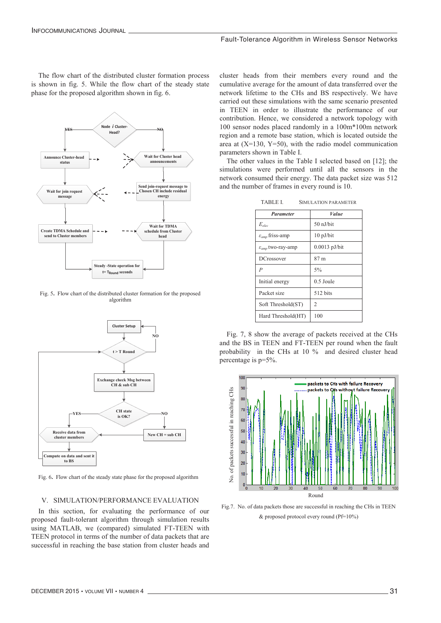The flow chart of the distributed cluster formation process is shown in fig. 5. While the flow chart of the steady state phase for the proposed algorithm shown in fig. 6.



Fig. 5**.** Flow chart of the distributed cluster formation for the proposed algorithm



Fig. 6**.** Flow chart of the steady state phase for the proposed algorithm

# V. SIMULATION/PERFORMANCE EVALUATION

In this section, for evaluating the performance of our proposed fault-tolerant algorithm through simulation results using MATLAB, we (compared) simulated FT-TEEN with TEEN protocol in terms of the number of data packets that are successful in reaching the base station from cluster heads and cluster heads from their members every round and the cumulative average for the amount of data transferred over the network lifetime to the CHs and BS respectively. We have carried out these simulations with the same scenario presented in TEEN in order to illustrate the performance of our contribution. Hence, we considered a network topology with 100 sensor nodes placed randomly in a 100m\*100m network region and a remote base station, which is located outside the area at  $(X=130, Y=50)$ , with the radio model communication parameters shown in Table I.

The other values in the Table I selected based on [12]; the simulations were performed until all the sensors in the network consumed their energy. The data packet size was 512 and the number of frames in every round is 10.

| <b>Parameter</b>                     | <i>Value</i>  |
|--------------------------------------|---------------|
| $E_{\rho loc}$                       | 50 nJ/bit     |
| $\varepsilon_{\text{amp}}$ friss-amp | $10$ pJ/bit   |
| $\varepsilon_{amp}$ two-ray-amp      | 0.0013 pJ/bit |
| <b>DCrossover</b>                    | 87 m          |
| $\boldsymbol{P}$                     | 5%            |
| Initial energy                       | $0.5$ Joule   |
| Packet size                          | 512 bits      |
| Soft Threshold(ST)                   | 2             |
| Hard Threshold(HT)                   | 100           |

TABLE I. SIMULATION PARAMETER

Fig. 7, 8 show the average of packets received at the CHs and the BS in TEEN and FT-TEEN per round when the fault probability in the CHs at 10 % and desired cluster head percentage is p=5%.



Fig.7. No. of data packets those are successful in reaching the CHs in TEEN & proposed protocol every round (Pf=10%)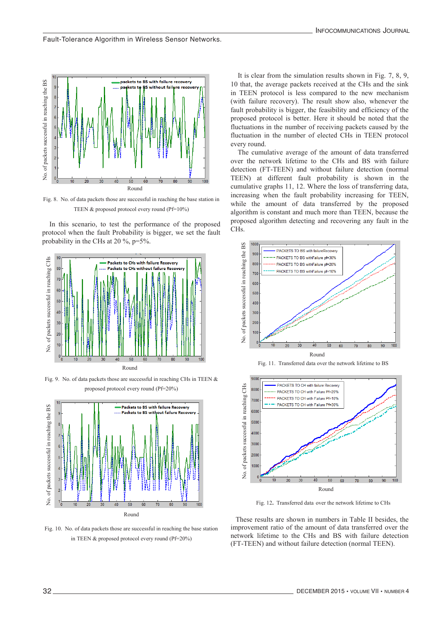

Fig. 8. No. of data packets those are successful in reaching the base station in TEEN & proposed protocol every round (Pf=10%)

In this scenario, to test the performance of the proposed protocol when the fault Probability is bigger, we set the fault probability in the CHs at 20 %, p=5%.



Fig. 9. No. of data packets those are successful in reaching CHs in TEEN & proposed protocol every round (Pf=20%)



Fig. 10. No. of data packets those are successful in reaching the base station in TEEN & proposed protocol every round (Pf=20%)

It is clear from the simulation results shown in Fig. 7, 8, 9, 10 that, the average packets received at the CHs and the sink in TEEN protocol is less compared to the new mechanism (with failure recovery). The result show also, whenever the fault probability is bigger, the feasibility and efficiency of the proposed protocol is better. Here it should be noted that the fluctuations in the number of receiving packets caused by the fluctuation in the number of elected CHs in TEEN protocol every round.

The cumulative average of the amount of data transferred over the network lifetime to the CHs and BS with failure detection (FT-TEEN) and without failure detection (normal TEEN) at different fault probability is shown in the cumulative graphs 11, 12. Where the loss of transferring data, increasing when the fault probability increasing for TEEN, while the amount of data transferred by the proposed algorithm is constant and much more than TEEN, because the proposed algorithm detecting and recovering any fault in the CHs.



Fig. 11. Transferred data over the network lifetime to BS



Fig. 12**.** Transferred data over the network lifetime to CHs

These results are shown in numbers in Table II besides, the improvement ratio of the amount of data transferred over the network lifetime to the CHs and BS with failure detection (FT-TEEN) and without failure detection (normal TEEN).